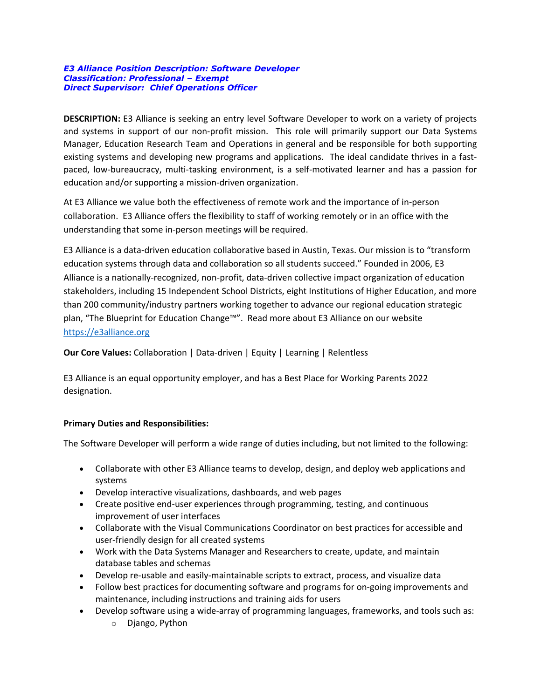#### *E3 Alliance Position Description: Software Developer Classification: Professional – Exempt Direct Supervisor: Chief Operations Officer*

**DESCRIPTION:** E3 Alliance is seeking an entry level Software Developer to work on a variety of projects and systems in support of our non-profit mission. This role will primarily support our Data Systems Manager, Education Research Team and Operations in general and be responsible for both supporting existing systems and developing new programs and applications. The ideal candidate thrives in a fastpaced, low-bureaucracy, multi-tasking environment, is a self-motivated learner and has a passion for education and/or supporting a mission-driven organization.

At E3 Alliance we value both the effectiveness of remote work and the importance of in-person collaboration. E3 Alliance offers the flexibility to staff of working remotely or in an office with the understanding that some in-person meetings will be required.

E3 Alliance is a data-driven education collaborative based in Austin, Texas. Our mission is to "transform education systems through data and collaboration so all students succeed." Founded in 2006, E3 Alliance is a nationally-recognized, non-profit, data-driven collective impact organization of education stakeholders, including 15 Independent School Districts, eight Institutions of Higher Education, and more than 200 community/industry partners working together to advance our regional education strategic plan, "The Blueprint for Education Change™". Read more about E3 Alliance on our website [https://e3alliance.org](https://e3alliance.org/) 

**Our Core Values:** Collaboration | Data-driven | Equity | Learning | Relentless

E3 Alliance is an equal opportunity employer, and has a Best Place for Working Parents 2022 designation.

# **Primary Duties and Responsibilities:**

The Software Developer will perform a wide range of duties including, but not limited to the following:

- Collaborate with other E3 Alliance teams to develop, design, and deploy web applications and systems
- Develop interactive visualizations, dashboards, and web pages
- Create positive end-user experiences through programming, testing, and continuous improvement of user interfaces
- Collaborate with the Visual Communications Coordinator on best practices for accessible and user-friendly design for all created systems
- Work with the Data Systems Manager and Researchers to create, update, and maintain database tables and schemas
- Develop re-usable and easily-maintainable scripts to extract, process, and visualize data
- Follow best practices for documenting software and programs for on-going improvements and maintenance, including instructions and training aids for users
- Develop software using a wide-array of programming languages, frameworks, and tools such as:
	- o Django, Python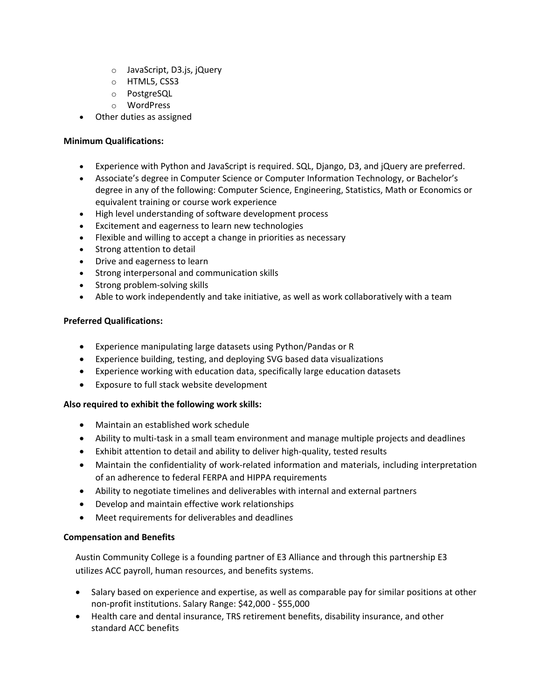- o JavaScript, D3.js, jQuery
- o HTML5, CSS3
- o PostgreSQL
- o WordPress
- Other duties as assigned

## **Minimum Qualifications:**

- Experience with Python and JavaScript is required. SQL, Django, D3, and jQuery are preferred.
- Associate's degree in Computer Science or Computer Information Technology, or Bachelor's degree in any of the following: Computer Science, Engineering, Statistics, Math or Economics or equivalent training or course work experience
- High level understanding of software development process
- Excitement and eagerness to learn new technologies
- Flexible and willing to accept a change in priorities as necessary
- Strong attention to detail
- Drive and eagerness to learn
- Strong interpersonal and communication skills
- Strong problem-solving skills
- Able to work independently and take initiative, as well as work collaboratively with a team

### **Preferred Qualifications:**

- Experience manipulating large datasets using Python/Pandas or R
- Experience building, testing, and deploying SVG based data visualizations
- Experience working with education data, specifically large education datasets
- Exposure to full stack website development

### **Also required to exhibit the following work skills:**

- Maintain an established work schedule
- Ability to multi-task in a small team environment and manage multiple projects and deadlines
- Exhibit attention to detail and ability to deliver high-quality, tested results
- Maintain the confidentiality of work-related information and materials, including interpretation of an adherence to federal FERPA and HIPPA requirements
- Ability to negotiate timelines and deliverables with internal and external partners
- Develop and maintain effective work relationships
- Meet requirements for deliverables and deadlines

### **Compensation and Benefits**

Austin Community College is a founding partner of E3 Alliance and through this partnership E3 utilizes ACC payroll, human resources, and benefits systems.

- Salary based on experience and expertise, as well as comparable pay for similar positions at other non-profit institutions. Salary Range: \$42,000 - \$55,000
- Health care and dental insurance, TRS retirement benefits, disability insurance, and other standard ACC benefits